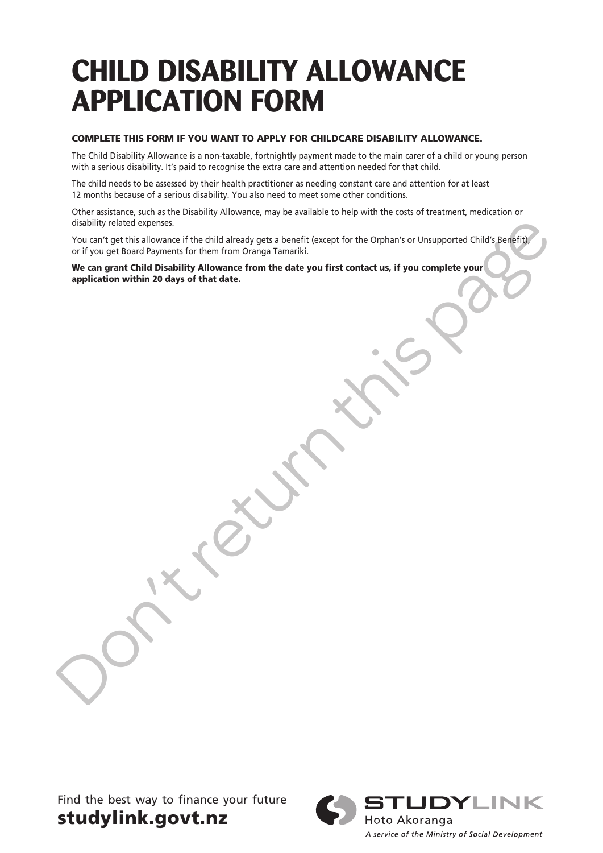## **CHILD DISABILITY ALLOWANCE APPLICATION FORM**

#### COMPLETE THIS FORM IF YOU WANT TO APPLY FOR CHILDCARE DISABILITY ALLOWANCE.

The Child Disability Allowance is a non-taxable, fortnightly payment made to the main carer of a child or young person with a serious disability. It's paid to recognise the extra care and attention needed for that child.

The child needs to be assessed by their health practitioner as needing constant care and attention for at least 12 months because of a serious disability. You also need to meet some other conditions.

Other assistance, such as the Disability Allowance, may be available to help with the costs of treatment, medication or disability related expenses.

distability related expenses.<br>
If you can't get this allowance if the child alcoaty gets a benefit (except for the Orphan's or Unsupported Child's Reverses for the form from Oranga Tamariki.<br>
We can get that Child Of Biski You can't get this allowance if the child already gets a benefit (except for the Orphan's or Unsupported Child's Benefit), or if you get Board Payments for them from Oranga Tamariki.

We can grant Child Disability Allowance from the date you first contact us, if you complete your application within 20 days of that date.

Find the best way to finance your future studylink.govt.nz



A service of the Ministry of Social Development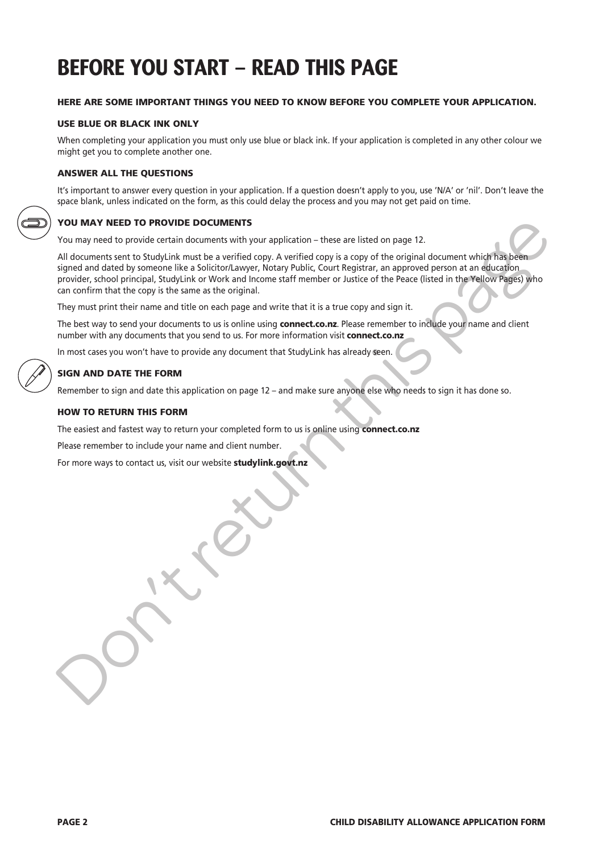## **BEFORE YOU START – READ THIS PAGE**

#### HERE ARE SOME IMPORTANT THINGS YOU NEED TO KNOW BEFORE YOU COMPLETE YOUR APPLICATION.

#### USE BLUE OR BLACK INK ONLY

When completing your application you must only use blue or black ink. If your application is completed in any other colour we might get you to complete another one.

#### ANSWER ALL THE QUESTIONS

It's important to answer every question in your application. If a question doesn't apply to you, use 'N/A' or 'nil'. Don't leave the space blank, unless indicated on the form, as this could delay the process and you may not get paid on time.

#### YOU MAY NEED TO PROVIDE DOCUMENTS

You may need to provide certain documents with your application – these are listed on page 12.

All documents sent to StudyLink must be a verified copy. A verified copy is a copy of the original document which has been signed and dated by someone like a Solicitor/Lawyer, Notary Public, Court Registrar, an approved person at an education provider, school principal, StudyLink or Work and Income staff member or Justice of the Peace (listed in the Yellow Pages) who can confirm that the copy is the same as the original.

They must print their name and title on each page and write that it is a true copy and sign it.

The best way to send your documents to us is online using connect.co.nz. Please remember to include your name and client number with any documents that you send to us. For more information visit connect.co.nz

In most cases you won't have to provide any document that StudyLink has already seen.

#### SIGN AND DATE THE FORM

Remember to sign and date this application on page 12 – and make sure anyone else who needs to sign it has done so.

#### HOW TO RETURN THIS FORM

The easiest and fastest way to return your completed form to us is online using connect.co.nz

Please remember to include your name and client number.

For more ways to contact us, visit our website studylink.govt.nz

**You MAY NEED TO PROVIDE DOCUMENTS**<br>
You may need to provide certain documents with your application – these are listed on page 12.<br>All documents sent to Study in the mass werified copy. A verified copy is a copy of the or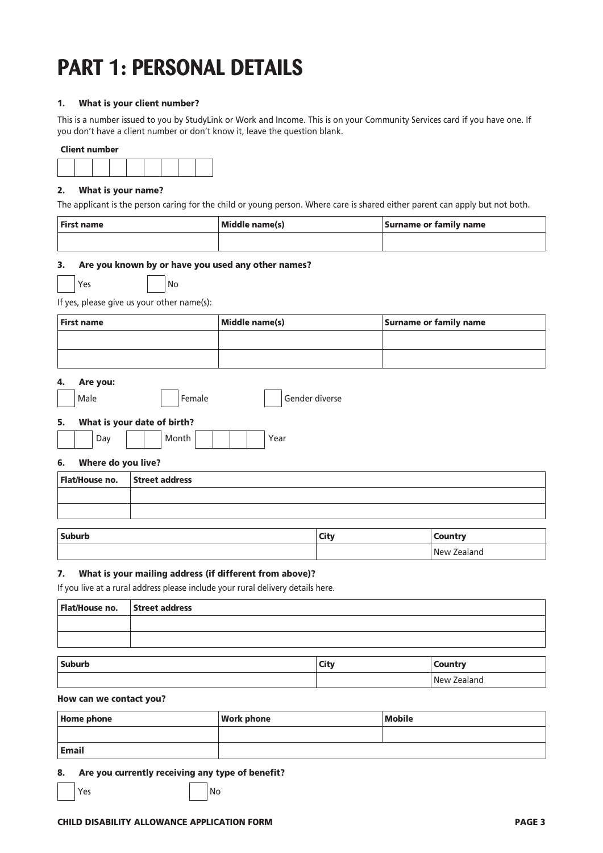## **PART 1: PERSONAL DETAILS**

#### 1. What is your client number?

This is a number issued to you by StudyLink or Work and Income. This is on your Community Services card if you have one. If you don't have a client number or don't know it, leave the question blank.

#### Client number



#### 2. What is your name?

The applicant is the person caring for the child or young person. Where care is shared either parent can apply but not both.

| First name | Middle name(s) | Surname or family name |
|------------|----------------|------------------------|
|            |                |                        |

#### 3. Are you known by or have you used any other names?

Yes INo

#### If yes, please give us your other name(s):

| First name | Middle name(s) | Surname or family name |
|------------|----------------|------------------------|
|            |                |                        |
|            |                |                        |

#### 4. Are you:

|    | Male |                             |  | Female |  |  | Gender diverse |
|----|------|-----------------------------|--|--------|--|--|----------------|
| 5. |      | What is your date of birth? |  |        |  |  |                |
|    |      | Dav                         |  | Month  |  |  | Year           |

#### 6. Where do you live?

| Flat/House no. Street address |  |
|-------------------------------|--|
|                               |  |
|                               |  |
|                               |  |

| <b>Suburb</b> | $20.11100$ matrix<br>יטווט<br>$\qquad \qquad -$ |
|---------------|-------------------------------------------------|
|               | <b>New</b><br>Zealand<br>.                      |

#### 7. What is your mailing address (if different from above)?

If you live at a rural address please include your rural delivery details here.

| Flat/House no.   Street address |  |
|---------------------------------|--|
|                                 |  |
|                                 |  |
|                                 |  |

| Suburb | <b>City</b><br>--- | nuntru<br>$\sim$ uunu -    |
|--------|--------------------|----------------------------|
|        |                    | -<br><b>New</b><br>Zealand |

#### How can we contact you?

| Home phone   | <b>Work phone</b> | <b>Mobile</b> |
|--------------|-------------------|---------------|
|              |                   |               |
| <b>Email</b> |                   |               |

#### 8. Are you currently receiving any type of benefit?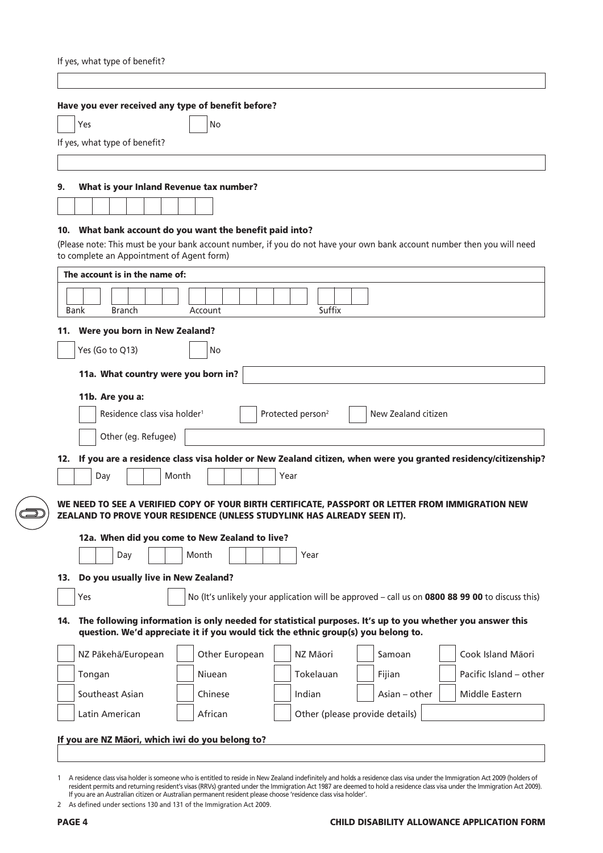| If yes, what type of benefit?             |                                                                                                                                                                                                |                               |                                |                                                                                                   |
|-------------------------------------------|------------------------------------------------------------------------------------------------------------------------------------------------------------------------------------------------|-------------------------------|--------------------------------|---------------------------------------------------------------------------------------------------|
|                                           |                                                                                                                                                                                                |                               |                                |                                                                                                   |
|                                           | Have you ever received any type of benefit before?                                                                                                                                             |                               |                                |                                                                                                   |
| Yes                                       | No                                                                                                                                                                                             |                               |                                |                                                                                                   |
| If yes, what type of benefit?             |                                                                                                                                                                                                |                               |                                |                                                                                                   |
|                                           |                                                                                                                                                                                                |                               |                                |                                                                                                   |
| 9.                                        | What is your Inland Revenue tax number?                                                                                                                                                        |                               |                                |                                                                                                   |
|                                           |                                                                                                                                                                                                |                               |                                |                                                                                                   |
| 10.                                       | What bank account do you want the benefit paid into?                                                                                                                                           |                               |                                |                                                                                                   |
|                                           | (Please note: This must be your bank account number, if you do not have your own bank account number then you will need                                                                        |                               |                                |                                                                                                   |
| to complete an Appointment of Agent form) |                                                                                                                                                                                                |                               |                                |                                                                                                   |
| The account is in the name of:            |                                                                                                                                                                                                |                               |                                |                                                                                                   |
|                                           |                                                                                                                                                                                                | Suffix                        |                                |                                                                                                   |
| Bank<br><b>Branch</b>                     | Account                                                                                                                                                                                        |                               |                                |                                                                                                   |
| Were you born in New Zealand?<br>11.      |                                                                                                                                                                                                |                               |                                |                                                                                                   |
| Yes (Go to Q13)                           | No                                                                                                                                                                                             |                               |                                |                                                                                                   |
|                                           | 11a. What country were you born in?                                                                                                                                                            |                               |                                |                                                                                                   |
| 11b. Are you a:                           |                                                                                                                                                                                                |                               |                                |                                                                                                   |
| Residence class visa holder <sup>1</sup>  |                                                                                                                                                                                                | Protected person <sup>2</sup> | New Zealand citizen            |                                                                                                   |
| Other (eg. Refugee)                       |                                                                                                                                                                                                |                               |                                |                                                                                                   |
| 12.                                       | If you are a residence class visa holder or New Zealand citizen, when were you granted residency/citizenship?                                                                                  |                               |                                |                                                                                                   |
| Day                                       | Month                                                                                                                                                                                          | Year                          |                                |                                                                                                   |
|                                           | WE NEED TO SEE A VERIFIED COPY OF YOUR BIRTH CERTIFICATE, PASSPORT OR LETTER FROM IMMIGRATION NEW                                                                                              |                               |                                |                                                                                                   |
|                                           | ZEALAND TO PROVE YOUR RESIDENCE (UNLESS STUDYLINK HAS ALREADY SEEN IT).                                                                                                                        |                               |                                |                                                                                                   |
|                                           | 12a. When did you come to New Zealand to live?                                                                                                                                                 |                               |                                |                                                                                                   |
| Day                                       | Month                                                                                                                                                                                          | Year                          |                                |                                                                                                   |
| 13.                                       | Do you usually live in New Zealand?                                                                                                                                                            |                               |                                |                                                                                                   |
| Yes                                       |                                                                                                                                                                                                |                               |                                | No (It's unlikely your application will be approved $-$ call us on 0800 88 99 00 to discuss this) |
| 14.                                       | The following information is only needed for statistical purposes. It's up to you whether you answer this<br>question. We'd appreciate it if you would tick the ethnic group(s) you belong to. |                               |                                |                                                                                                   |
| NZ Pākehā/European                        | Other European                                                                                                                                                                                 | NZ Māori                      | Samoan                         | Cook Island Māori                                                                                 |
|                                           |                                                                                                                                                                                                |                               | Fijian                         | Pacific Island – other                                                                            |
| Tongan                                    | Niuean                                                                                                                                                                                         | Tokelauan                     |                                |                                                                                                   |
| Southeast Asian                           | Chinese                                                                                                                                                                                        | Indian                        | Asian - other                  | Middle Eastern                                                                                    |
| Latin American                            | African                                                                                                                                                                                        |                               | Other (please provide details) |                                                                                                   |

<sup>1</sup> A residence class visa holder is someone who is entitled to reside in New Zealand indefinitely and holds a residence class visa under the Immigration Act 2009 (holders of resident permits and returning resident's visas (RRVs) granted under the Immigration Act 1987 are deemed to hold a residence class visa under the Immigration Act 2009). If you are an Australian citizen or Australian permanent resident please choose 'residence class visa holder'.

<sup>2</sup> As defined under sections 130 and 131 of the Immigration Act 2009.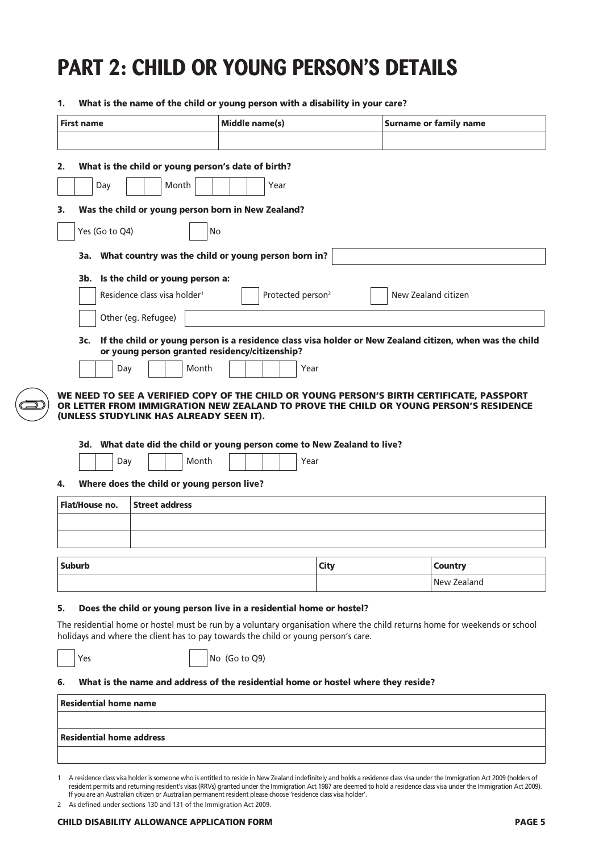## **PART 2: CHILD OR YOUNG PERSON'S DETAILS**

|                | <b>First name</b>               |                                                                     |       | Middle name(s) |                                                                                    | <b>Surname or family name</b>                                                                                              |
|----------------|---------------------------------|---------------------------------------------------------------------|-------|----------------|------------------------------------------------------------------------------------|----------------------------------------------------------------------------------------------------------------------------|
|                |                                 |                                                                     |       |                |                                                                                    |                                                                                                                            |
|                |                                 |                                                                     |       |                |                                                                                    |                                                                                                                            |
| 2.             |                                 | What is the child or young person's date of birth?                  |       |                |                                                                                    |                                                                                                                            |
|                | Day                             | Month                                                               |       |                | Year                                                                               |                                                                                                                            |
|                |                                 |                                                                     |       |                |                                                                                    |                                                                                                                            |
| 3.             |                                 | Was the child or young person born in New Zealand?                  |       |                |                                                                                    |                                                                                                                            |
|                | Yes (Go to Q4)                  |                                                                     | No    |                |                                                                                    |                                                                                                                            |
|                |                                 |                                                                     |       |                | 3a. What country was the child or young person born in?                            |                                                                                                                            |
|                |                                 | 3b. Is the child or young person a:                                 |       |                |                                                                                    |                                                                                                                            |
|                |                                 | Residence class visa holder <sup>1</sup>                            |       |                | Protected person <sup>2</sup>                                                      | New Zealand citizen                                                                                                        |
|                |                                 |                                                                     |       |                |                                                                                    |                                                                                                                            |
|                |                                 | Other (eg. Refugee)                                                 |       |                |                                                                                    |                                                                                                                            |
|                | 3c.                             |                                                                     |       |                |                                                                                    | If the child or young person is a residence class visa holder or New Zealand citizen, when was the child                   |
|                |                                 | or young person granted residency/citizenship?                      |       |                |                                                                                    |                                                                                                                            |
|                | Day                             |                                                                     | Month |                | Year                                                                               |                                                                                                                            |
|                |                                 |                                                                     |       |                |                                                                                    | WE NEED TO SEE A VERIFIED COPY OF THE CHILD OR YOUNG PERSON'S BIRTH CERTIFICATE, PASSPORT                                  |
|                |                                 | (UNLESS STUDYLINK HAS ALREADY SEEN IT).                             |       |                | 3d. What date did the child or young person come to New Zealand to live?           | OR LETTER FROM IMMIGRATION NEW ZEALAND TO PROVE THE CHILD OR YOUNG PERSON'S RESIDENCE                                      |
|                | Day                             |                                                                     | Month |                | Year                                                                               |                                                                                                                            |
|                | Flat/House no.                  | Where does the child or young person live?<br><b>Street address</b> |       |                |                                                                                    |                                                                                                                            |
|                |                                 |                                                                     |       |                |                                                                                    |                                                                                                                            |
|                |                                 |                                                                     |       |                |                                                                                    |                                                                                                                            |
|                |                                 |                                                                     |       |                |                                                                                    |                                                                                                                            |
|                | <b>Suburb</b>                   |                                                                     |       |                | City                                                                               | <b>Country</b>                                                                                                             |
|                |                                 |                                                                     |       |                |                                                                                    | New Zealand                                                                                                                |
|                |                                 |                                                                     |       |                | Does the child or young person live in a residential home or hostel?               |                                                                                                                            |
|                |                                 |                                                                     |       |                |                                                                                    |                                                                                                                            |
|                |                                 |                                                                     |       |                | holidays and where the client has to pay towards the child or young person's care. | The residential home or hostel must be run by a voluntary organisation where the child returns home for weekends or school |
|                | Yes                             |                                                                     |       | No (Go to Q9)  |                                                                                    |                                                                                                                            |
|                |                                 |                                                                     |       |                |                                                                                    |                                                                                                                            |
|                |                                 |                                                                     |       |                | What is the name and address of the residential home or hostel where they reside?  |                                                                                                                            |
| 4.<br>5.<br>6. | <b>Residential home name</b>    |                                                                     |       |                |                                                                                    |                                                                                                                            |
|                | <b>Residential home address</b> |                                                                     |       |                |                                                                                    |                                                                                                                            |

1 A residence class visa holder is someone who is entitled to reside in New Zealand indefinitely and holds a residence class visa under the Immigration Act 2009 (holders of resident permits and returning resident's visas (RRVs) granted under the Immigration Act 1987 are deemed to hold a residence class visa under the Immigration Act 2009). If you are an Australian citizen or Australian permanent resident please choose 'residence class visa holder'.

2 As defined under sections 130 and 131 of the Immigration Act 2009.

#### CHILD DISABILITY ALLOWANCE APPLICATION FORM PAGE 5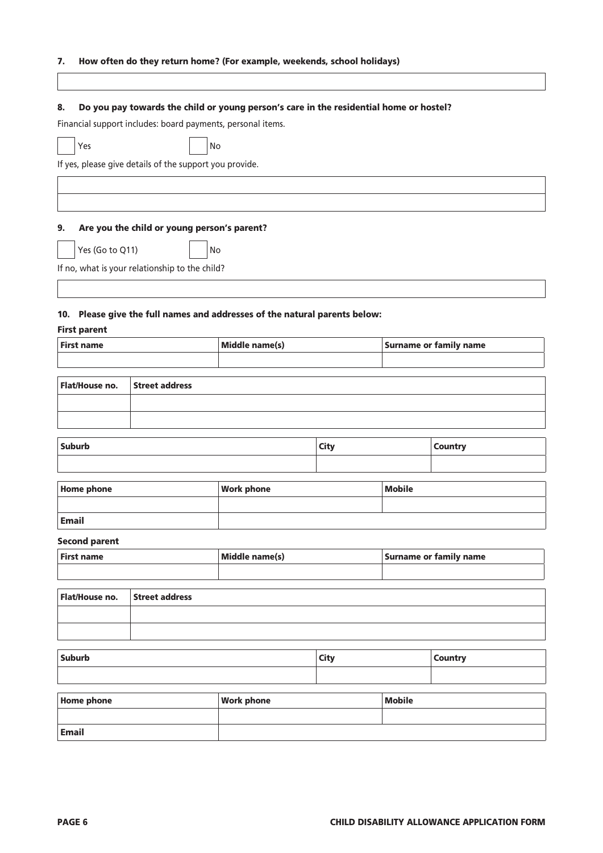#### 7. How often do they return home? (For example, weekends, school holidays)

| 8.                   |                                                         | Do you pay towards the child or young person's care in the residential home or hostel? |             |               |                               |
|----------------------|---------------------------------------------------------|----------------------------------------------------------------------------------------|-------------|---------------|-------------------------------|
|                      |                                                         | Financial support includes: board payments, personal items.                            |             |               |                               |
| Yes                  |                                                         | No                                                                                     |             |               |                               |
|                      | If yes, please give details of the support you provide. |                                                                                        |             |               |                               |
|                      |                                                         |                                                                                        |             |               |                               |
|                      |                                                         |                                                                                        |             |               |                               |
| 9.                   | Are you the child or young person's parent?             |                                                                                        |             |               |                               |
|                      |                                                         |                                                                                        |             |               |                               |
| Yes (Go to Q11)      |                                                         | No                                                                                     |             |               |                               |
|                      | If no, what is your relationship to the child?          |                                                                                        |             |               |                               |
|                      |                                                         |                                                                                        |             |               |                               |
|                      |                                                         | 10. Please give the full names and addresses of the natural parents below:             |             |               |                               |
| <b>First parent</b>  |                                                         |                                                                                        |             |               |                               |
| <b>First name</b>    |                                                         | Middle name(s)                                                                         |             |               | <b>Surname or family name</b> |
|                      |                                                         |                                                                                        |             |               |                               |
| Flat/House no.       | <b>Street address</b>                                   |                                                                                        |             |               |                               |
|                      |                                                         |                                                                                        |             |               |                               |
|                      |                                                         |                                                                                        |             |               |                               |
| <b>Suburb</b>        |                                                         |                                                                                        | <b>City</b> |               | <b>Country</b>                |
|                      |                                                         |                                                                                        |             |               |                               |
| <b>Home phone</b>    |                                                         | <b>Work phone</b>                                                                      |             | <b>Mobile</b> |                               |
|                      |                                                         |                                                                                        |             |               |                               |
| <b>Email</b>         |                                                         |                                                                                        |             |               |                               |
| <b>Second parent</b> |                                                         |                                                                                        |             |               |                               |
| <b>First name</b>    |                                                         | Middle name(s)                                                                         |             |               | <b>Surname or family name</b> |
|                      |                                                         |                                                                                        |             |               |                               |
| Flat/House no.       | <b>Street address</b>                                   |                                                                                        |             |               |                               |
|                      |                                                         |                                                                                        |             |               |                               |
|                      |                                                         |                                                                                        |             |               |                               |
| Suburb               |                                                         |                                                                                        | <b>City</b> |               | <b>Country</b>                |
|                      |                                                         |                                                                                        |             |               |                               |
|                      |                                                         |                                                                                        |             |               |                               |
| <b>Home phone</b>    |                                                         | <b>Work phone</b>                                                                      |             | <b>Mobile</b> |                               |
| <b>Email</b>         |                                                         |                                                                                        |             |               |                               |
|                      |                                                         |                                                                                        |             |               |                               |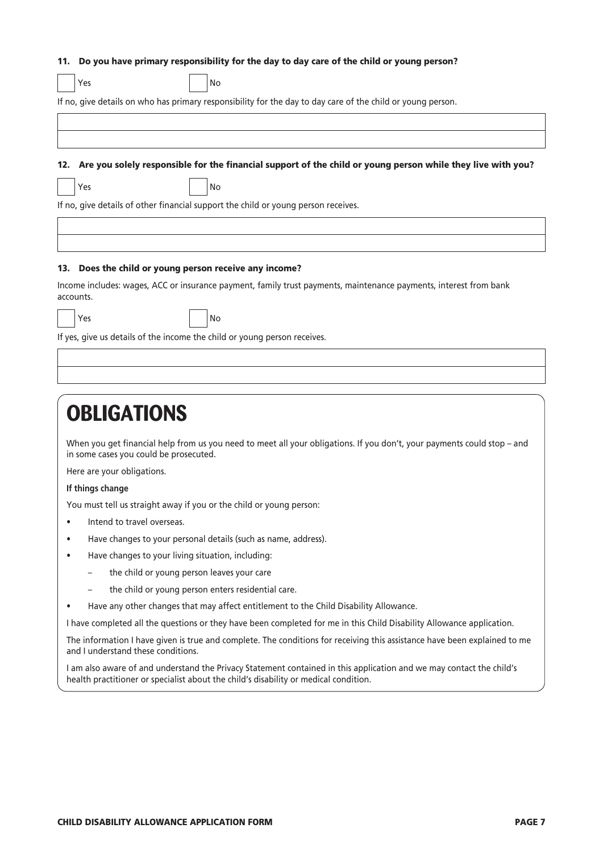#### 11. Do you have primary responsibility for the day to day care of the child or young person?

|     | Yes                                                | No                                                                                                              |
|-----|----------------------------------------------------|-----------------------------------------------------------------------------------------------------------------|
|     |                                                    | If no, give details on who has primary responsibility for the day to day care of the child or young person.     |
|     |                                                    |                                                                                                                 |
|     |                                                    |                                                                                                                 |
|     |                                                    | 12. Are you solely responsible for the financial support of the child or young person while they live with you? |
|     | Yes                                                | No                                                                                                              |
|     |                                                    | If no, give details of other financial support the child or young person receives.                              |
|     |                                                    |                                                                                                                 |
|     |                                                    |                                                                                                                 |
| 13. | Does the child or young person receive any income? |                                                                                                                 |

Income includes: wages, ACC or insurance payment, family trust payments, maintenance payments, interest from bank accounts.

| w |
|---|
|   |

Yes No

If yes, give us details of the income the child or young person receives.

### **OBLIGATIONS**

When you get financial help from us you need to meet all your obligations. If you don't, your payments could stop – and in some cases you could be prosecuted.

Here are your obligations.

#### **If things change**

You must tell us straight away if you or the child or young person:

- Intend to travel overseas.
- Have changes to your personal details (such as name, address).
- Have changes to your living situation, including:
	- the child or young person leaves your care
	- the child or young person enters residential care.
- Have any other changes that may affect entitlement to the Child Disability Allowance.

I have completed all the questions or they have been completed for me in this Child Disability Allowance application.

The information I have given is true and complete. The conditions for receiving this assistance have been explained to me and I understand these conditions.

I am also aware of and understand the Privacy Statement contained in this application and we may contact the child's health practitioner or specialist about the child's disability or medical condition.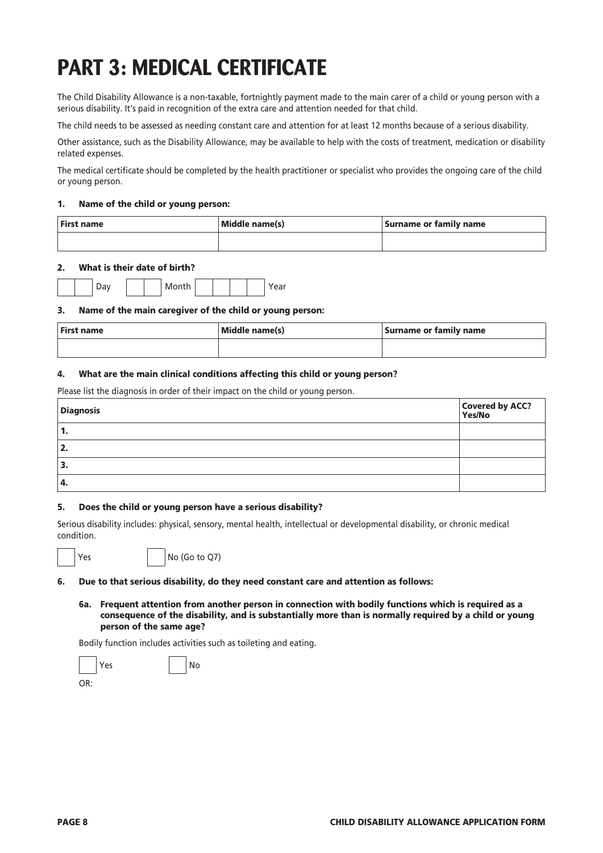## **PART 3: MEDICAL CERTIFICATE**

The Child Disability Allowance is a non-taxable, fortnightly payment made to the main carer of a child or young person with a serious disability. It's paid in recognition of the extra care and attention needed for that child.

The child needs to be assessed as needing constant care and attention for at least 12 months because of a serious disability.

Other assistance, such as the Disability Allowance, may be available to help with the costs of treatment, medication or disability related expenses.

The medical certificate should be completed by the health practitioner or specialist who provides the ongoing care of the child or young person.

#### 1. Name of the child or young person:

| First name | Middle name(s) | Surname or family name |
|------------|----------------|------------------------|
|            |                |                        |

#### 2. What is their date of birth?

|  |  | wıc<br>. |  |  |  |
|--|--|----------|--|--|--|

#### 3. Name of the main caregiver of the child or young person:

| First name | Middle name(s) | Surname or family name |
|------------|----------------|------------------------|
|            |                |                        |

#### 4. What are the main clinical conditions affecting this child or young person?

Please list the diagnosis in order of their impact on the child or young person.

| <b>Diagnosis</b> | Covered by ACC?<br>Yes/No |
|------------------|---------------------------|
| 1.               |                           |
| 2.               |                           |
| 3.               |                           |
| <sup>1</sup> 4.  |                           |

#### 5. Does the child or young person have a serious disability?

Serious disability includes: physical, sensory, mental health, intellectual or developmental disability, or chronic medical condition.

 $Yes$   $| No (Go to Q7)$ 

#### 6. Due to that serious disability, do they need constant care and attention as follows:

6a. Frequent attention from another person in connection with bodily functions which is required as a consequence of the disability, and is substantially more than is normally required by a child or young person of the same age?

Bodily function includes activities such as toileting and eating.



OR: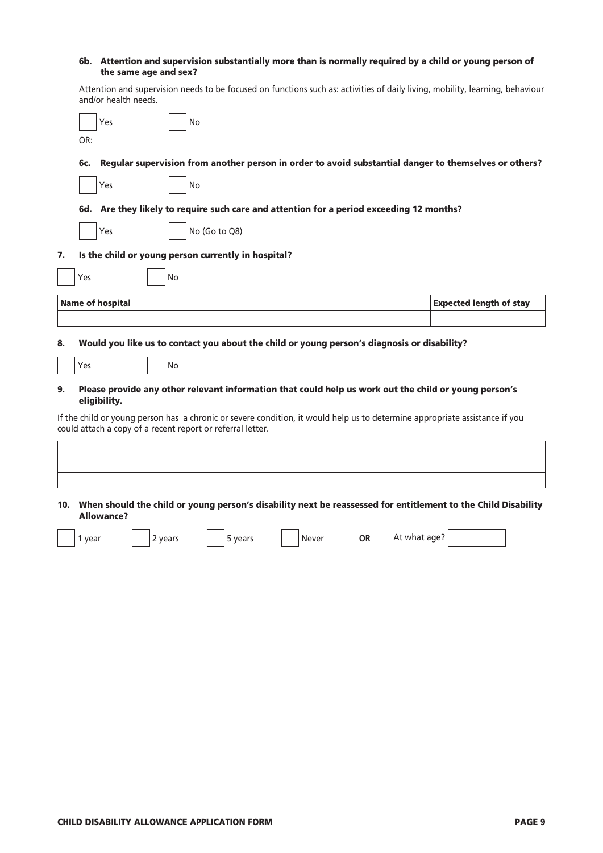| 6b. Attention and supervision substantially more than is normally required by a child or young person of |
|----------------------------------------------------------------------------------------------------------|
| the same age and sex?                                                                                    |

Attention and supervision needs to be focused on functions such as: activities of daily living, mobility, learning, behaviour and/or health needs.

|          | <b>No</b><br>Yes<br>OR:                                                                                                                                                                                                                  |                                |
|----------|------------------------------------------------------------------------------------------------------------------------------------------------------------------------------------------------------------------------------------------|--------------------------------|
|          | Regular supervision from another person in order to avoid substantial danger to themselves or others?<br>6c.                                                                                                                             |                                |
|          | <b>No</b><br>Yes                                                                                                                                                                                                                         |                                |
|          | 6d. Are they likely to require such care and attention for a period exceeding 12 months?                                                                                                                                                 |                                |
|          | No (Go to Q8)<br>Yes                                                                                                                                                                                                                     |                                |
| 7.       | Is the child or young person currently in hospital?                                                                                                                                                                                      |                                |
|          | Yes<br>No                                                                                                                                                                                                                                |                                |
|          | <b>Name of hospital</b>                                                                                                                                                                                                                  | <b>Expected length of stay</b> |
| 8.<br>9. | Would you like us to contact you about the child or young person's diagnosis or disability?<br>Yes<br><b>No</b><br>Please provide any other relevant information that could help us work out the child or young person's<br>eligibility. |                                |
|          | If the child or young person has a chronic or severe condition, it would help us to determine appropriate assistance if you<br>could attach a copy of a recent report or referral letter.                                                |                                |
|          | 10. When should the child or young person's disability next be reassessed for entitlement to the Child Disability<br>Allowance?<br>At what age?<br>OR.<br>5 years                                                                        |                                |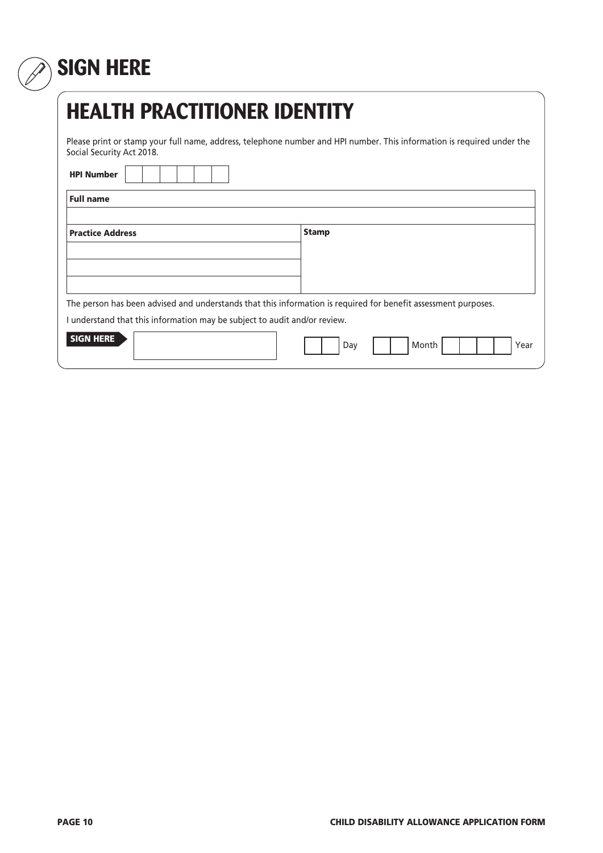## **SIGN HERE**

| <b>HEALTH PRACTITIONER IDENTITY</b>                                                                                                                 |                      |  |  |  |  |
|-----------------------------------------------------------------------------------------------------------------------------------------------------|----------------------|--|--|--|--|
| Please print or stamp your full name, address, telephone number and HPI number. This information is required under the<br>Social Security Act 2018. |                      |  |  |  |  |
| <b>HPI Number</b>                                                                                                                                   |                      |  |  |  |  |
| <b>Full name</b>                                                                                                                                    |                      |  |  |  |  |
| <b>Practice Address</b>                                                                                                                             | <b>Stamp</b>         |  |  |  |  |
| The person has been advised and understands that this information is required for benefit assessment purposes.                                      |                      |  |  |  |  |
| I understand that this information may be subject to audit and/or review.                                                                           |                      |  |  |  |  |
| <b>SIGN HERE</b>                                                                                                                                    | Month<br>Day<br>Year |  |  |  |  |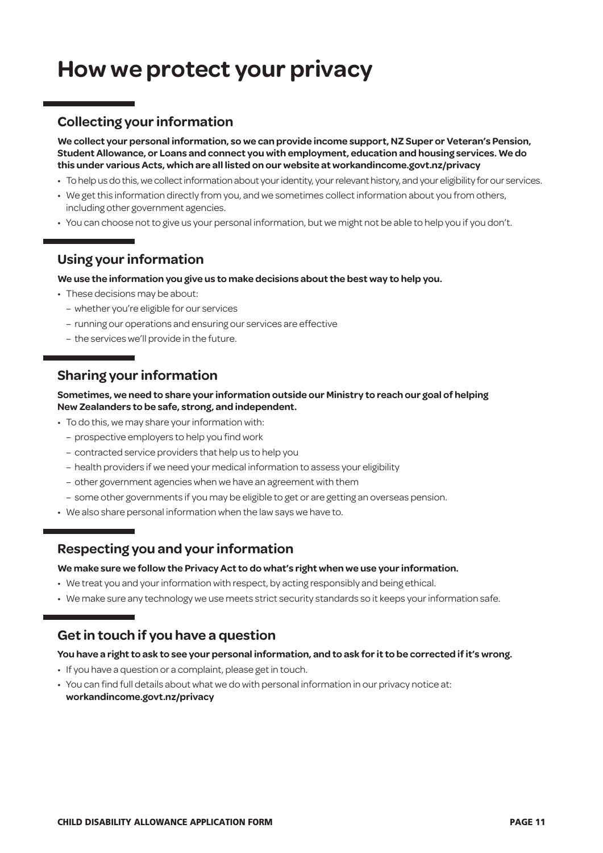### **How we protect your privacy**

#### **Collecting your information**

**We collect your personal information, so we can provide income support, NZ Super or Veteran's Pension, Student Allowance, or Loans and connect you with employment, education and housing services. We do this under various Acts, which are all listed on our website at [workandincome.govt.nz/p](http://www.workandincome.govt.nz/about-work-and-income/privacy-notice/index.html)rivacy**

- To help us do this, we collect information about your identity, your relevant history, and your eligibility for our services.
- We get this information directly from you, and we sometimes collect information about you from others, including other government agencies.
- You can choose not to give us your personal information, but we might not be able to help you if you don't.

#### **Using your information**

#### **We use the information you give us to make decisions about the best way to help you.**

- These decisions may be about:
	- whether you're eligible for our services
	- running our operations and ensuring our services are effective
	- the services we'll provide in the future.

#### **Sharing your information**

#### **Sometimes, we need to share your information outside our Ministry to reach our goal of helping New Zealanders to be safe, strong, and independent.**

- To do this, we may share your information with:
	- prospective employers to help you find work
	- contracted service providers that help us to help you
	- health providers if we need your medical information to assess your eligibility
	- other government agencies when we have an agreement with them
	- some other governments if you may be eligible to get or are getting an overseas pension.
- We also share personal information when the law says we have to.

#### **Respecting you and your information**

#### **We make sure we follow the Privacy Act to do what's right when we use your information.**

- We treat you and your information with respect, by acting responsibly and being ethical.
- We make sure any technology we use meets strict security standards so it keeps your information safe.

#### **Get in touch if you have a question**

#### **You have a right to ask to see your personal information, and to ask for it to be corrected if it's wrong.**

- If you have a question or a complaint, please get in touch.
- You can find full details about what we do with personal information in our privacy notice at: **[workandincome.govt.nz/p](http://www.workandincome.govt.nz/about-work-and-income/privacy-notice/index.html)rivacy**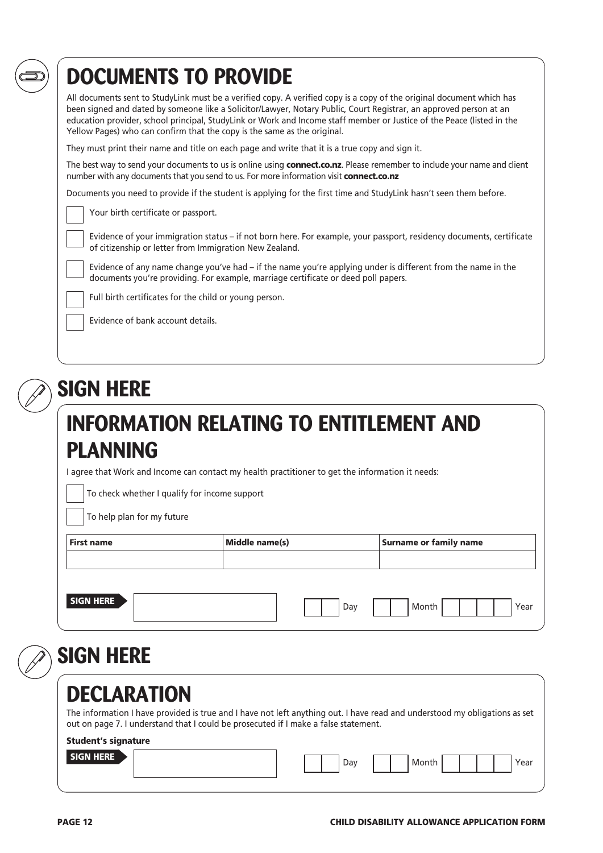## **DOCUMENTS TO PROVIDE**

All documents sent to StudyLink must be a verified copy. A verified copy is a copy of the original document which has been signed and dated by someone like a Solicitor/Lawyer, Notary Public, Court Registrar, an approved person at an education provider, school principal, StudyLink or Work and Income staff member or Justice of the Peace (listed in the Yellow Pages) who can confirm that the copy is the same as the original.

They must print their name and title on each page and write that it is a true copy and sign it.

The best way to send your documents to us is online using connect.co.nz. Please remember to include your name and client number with any documents that you send to us. For more information visit connect.co.nz

Documents you need to provide if the student is applying for the first time and StudyLink hasn't seen them before.

Your birth certificate or passport.

Evidence of your immigration status – if not born here. For example, your passport, residency documents, certificate of citizenship or letter from Immigration New Zealand.

Evidence of any name change you've had – if the name you're applying under is different from the name in the documents you're providing. For example, marriage certificate or deed poll papers.

Full birth certificates for the child or young person.

Evidence of bank account details.

## **SIGN HERE**

### **INFORMATION RELATING TO ENTITLEMENT AND PLANNING**

I agree that Work and Income can contact my health practitioner to get the information it needs:

To check whether I qualify for income support

To help plan for my future

| <b>First name</b> |  | Middle name(s) | <b>Surname or family name</b> |       |      |
|-------------------|--|----------------|-------------------------------|-------|------|
|                   |  |                |                               |       |      |
| <b>SIGN HERE</b>  |  |                | Day                           | Month | Year |

**SIGN HERE**

### **DECLARATION**

The information I have provided is true and I have not left anything out. I have read and understood my obligations as set out on page 7. I understand that I could be prosecuted if I make a false statement.

#### Student's signature

| <b>SIGN HERE</b> |  |  | Dav |  | Month |  |  | $\sim$<br>ea |
|------------------|--|--|-----|--|-------|--|--|--------------|
|                  |  |  |     |  |       |  |  |              |